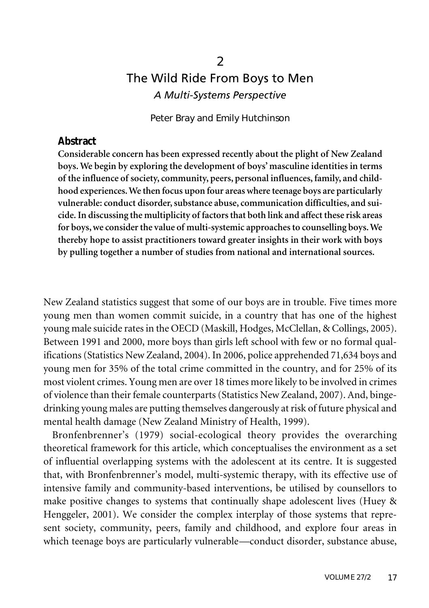# 2 The Wild Ride From Boys to Men *A Multi-Systems Perspective*

Peter Bray and Emily Hutchinson

#### **Abstract**

**Considerable concern has been expressed recently about the plight of New Zealand boys.We begin by exploring the development of boys' masculine identities in terms of the influence of society, community, peers, personal influences, family, and childhood experiences.We then focus upon four areas where teenage boys are particularly vulnerable: conduct disorder,substance abuse, communication difficulties, and suicide.In discussing the multiplicity of factorsthat both link and affect these risk areas for boys,we considerthe value of multi-systemic approachesto counselling boys.We thereby hope to assist practitioners toward greater insights in their work with boys by pulling together a number of studies from national and international sources.**

New Zealand statistics suggest that some of our boys are in trouble. Five times more young men than women commit suicide, in a country that has one of the highest young male suicide rates in the OECD (Maskill, Hodges, McClellan, & Collings, 2005). Between 1991 and 2000, more boys than girls left school with few or no formal qualifications(Statistics New Zealand, 2004). In 2006, police apprehended 71,634 boys and young men for 35% of the total crime committed in the country, and for 25% of its most violent crimes. Young men are over 18 times more likely to be involved in crimes of violence than their female counterparts (Statistics New Zealand, 2007). And, bingedrinking young males are putting themselves dangerously atrisk of future physical and mental health damage (New Zealand Ministry of Health, 1999).

Bronfenbrenner's (1979) social-ecological theory provides the overarching theoretical framework for this article, which conceptualises the environment as a set of influential overlapping systems with the adolescent at its centre. It is suggested that, with Bronfenbrenner's model, multi-systemic therapy, with its effective use of intensive family and community-based interventions, be utilised by counsellors to make positive changes to systems that continually shape adolescent lives (Huey & Henggeler, 2001). We consider the complex interplay of those systems that represent society, community, peers, family and childhood, and explore four areas in which teenage boys are particularly vulnerable—conduct disorder, substance abuse,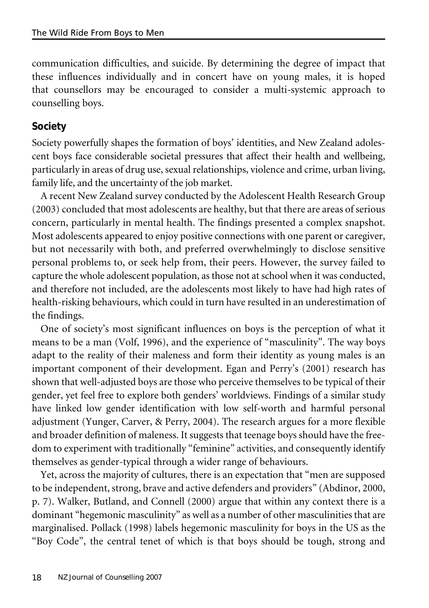communication difficulties, and suicide. By determining the degree of impact that these influences individually and in concert have on young males, it is hoped that counsellors may be encouraged to consider a multi-systemic approach to counselling boys.

## **Society**

Society powerfully shapes the formation of boys' identities, and New Zealand adolescent boys face considerable societal pressures that affect their health and wellbeing, particularly in areas of drug use, sexual relationships, violence and crime, urban living, family life, and the uncertainty of the job market.

A recent New Zealand survey conducted by the Adolescent Health Research Group (2003) concluded that most adolescents are healthy, but that there are areas of serious concern, particularly in mental health. The findings presented a complex snapshot. Most adolescents appeared to enjoy positive connections with one parent or caregiver, but not necessarily with both, and preferred overwhelmingly to disclose sensitive personal problems to, or seek help from, their peers. However, the survey failed to capture the whole adolescent population, as those not at school when it was conducted, and therefore not included, are the adolescents most likely to have had high rates of health-risking behaviours, which could in turn have resulted in an underestimation of the findings.

One of society's most significant influences on boys is the perception of what it means to be a man (Volf, 1996), and the experience of "masculinity". The way boys adapt to the reality of their maleness and form their identity as young males is an important component of their development. Egan and Perry's (2001) research has shown that well-adjusted boys are those who perceive themselves to be typical of their gender, yet feel free to explore both genders' worldviews. Findings of a similar study have linked low gender identification with low self-worth and harmful personal adjustment (Yunger, Carver, & Perry, 2004). The research argues for a more flexible and broader definition of maleness. It suggests that teenage boys should have the freedom to experiment with traditionally "feminine" activities, and consequently identify themselves as gender-typical through a wider range of behaviours.

Yet, across the majority of cultures, there is an expectation that "men are supposed to be independent, strong, brave and active defenders and providers" (Abdinor, 2000, p. 7). Walker, Butland, and Connell (2000) argue that within any context there is a dominant "hegemonic masculinity" as well as a number of other masculinities that are marginalised. Pollack (1998) labels hegemonic masculinity for boys in the US as the "Boy Code", the central tenet of which is that boys should be tough, strong and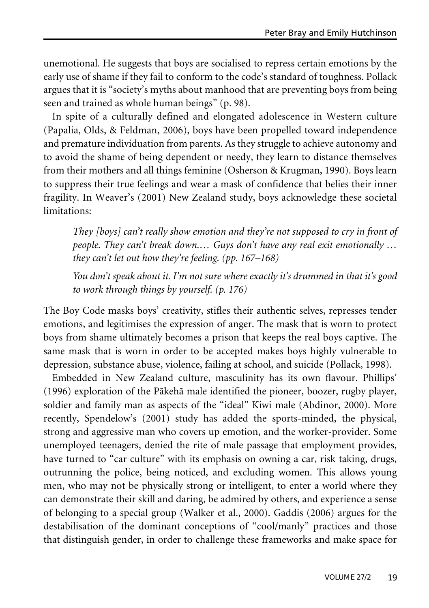unemotional. He suggests that boys are socialised to repress certain emotions by the early use of shame if they fail to conform to the code's standard of toughness. Pollack argues that it is "society's myths about manhood that are preventing boys from being seen and trained as whole human beings" (p. 98).

In spite of a culturally defined and elongated adolescence in Western culture (Papalia, Olds, & Feldman, 2006), boys have been propelled toward independence and premature individuation from parents. As they struggle to achieve autonomy and to avoid the shame of being dependent or needy, they learn to distance themselves from their mothers and all things feminine (Osherson & Krugman, 1990). Boys learn to suppress their true feelings and wear a mask of confidence that belies their inner fragility. In Weaver's (2001) New Zealand study, boys acknowledge these societal limitations:

*They [boys] can't really show emotion and they're not supposed to cry in front of people. They can't break down.… Guys don't have any real exit emotionally … they can't let out how they're feeling. (pp. 167–168)*

*You don't speak about it. I'm not sure where exactly it's drummed in that it's good to work through things by yourself. (p. 176)*

The Boy Code masks boys' creativity, stifles their authentic selves, represses tender emotions, and legitimises the expression of anger. The mask that is worn to protect boys from shame ultimately becomes a prison that keeps the real boys captive. The same mask that is worn in order to be accepted makes boys highly vulnerable to depression, substance abuse, violence, failing at school, and suicide (Pollack, 1998).

Embedded in New Zealand culture, masculinity has its own flavour. Phillips' (1996) exploration of the Päkehä male identified the pioneer, boozer, rugby player, soldier and family man as aspects of the "ideal" Kiwi male (Abdinor, 2000). More recently, Spendelow's (2001) study has added the sports-minded, the physical, strong and aggressive man who covers up emotion, and the worker-provider. Some unemployed teenagers, denied the rite of male passage that employment provides, have turned to "car culture" with its emphasis on owning a car, risk taking, drugs, outrunning the police, being noticed, and excluding women. This allows young men, who may not be physically strong or intelligent, to enter a world where they can demonstrate their skill and daring, be admired by others, and experience a sense of belonging to a special group (Walker et al., 2000). Gaddis (2006) argues for the destabilisation of the dominant conceptions of "cool/manly" practices and those that distinguish gender, in order to challenge these frameworks and make space for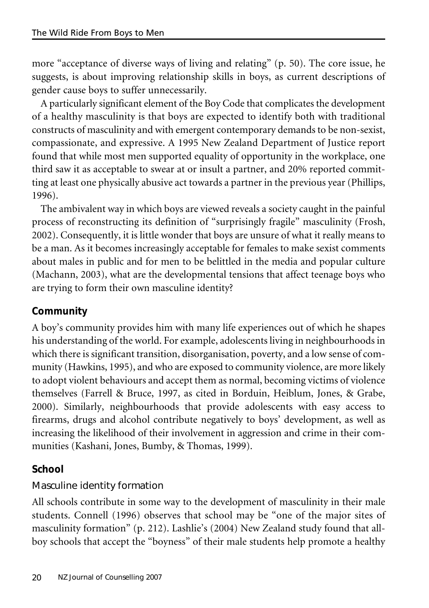more "acceptance of diverse ways of living and relating" (p. 50). The core issue, he suggests, is about improving relationship skills in boys, as current descriptions of gender cause boys to suffer unnecessarily.

A particularly significant element of the Boy Code that complicates the development of a healthy masculinity is that boys are expected to identify both with traditional constructs of masculinity and with emergent contemporary demands to be non-sexist, compassionate, and expressive. A 1995 New Zealand Department of Justice report found that while most men supported equality of opportunity in the workplace, one third saw it as acceptable to swear at or insult a partner, and 20% reported committing at least one physically abusive act towards a partner in the previous year (Phillips, 1996).

The ambivalent way in which boys are viewed reveals a society caught in the painful process of reconstructing its definition of "surprisingly fragile" masculinity (Frosh, 2002). Consequently, it is little wonder that boys are unsure of what it really means to be a man. As it becomes increasingly acceptable for females to make sexist comments about males in public and for men to be belittled in the media and popular culture (Machann, 2003), what are the developmental tensions that affect teenage boys who are trying to form their own masculine identity?

# **Community**

A boy's community provides him with many life experiences out of which he shapes his understanding of the world. For example, adolescents living in neighbourhoods in which there is significant transition, disorganisation, poverty, and a low sense of community (Hawkins, 1995), and who are exposed to community violence, are more likely to adopt violent behaviours and accept them as normal, becoming victims of violence themselves (Farrell & Bruce, 1997, as cited in Borduin, Heiblum, Jones, & Grabe, 2000). Similarly, neighbourhoods that provide adolescents with easy access to firearms, drugs and alcohol contribute negatively to boys' development, as well as increasing the likelihood of their involvement in aggression and crime in their communities (Kashani, Jones, Bumby, & Thomas, 1999).

# **School**

# Masculine identity formation

All schools contribute in some way to the development of masculinity in their male students. Connell (1996) observes that school may be "one of the major sites of masculinity formation" (p. 212). Lashlie's (2004) New Zealand study found that allboy schools that accept the "boyness" of their male students help promote a healthy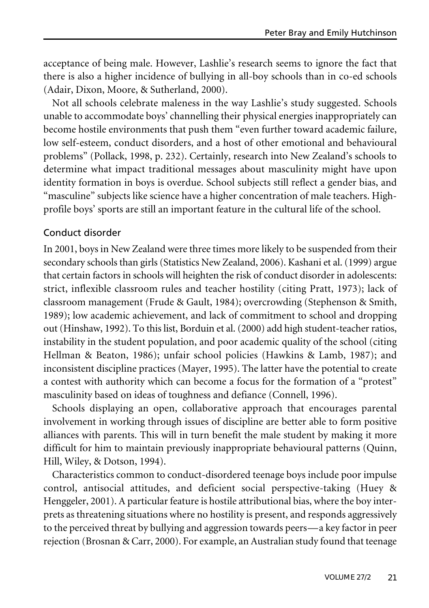acceptance of being male. However, Lashlie's research seems to ignore the fact that there is also a higher incidence of bullying in all-boy schools than in co-ed schools (Adair, Dixon, Moore, & Sutherland, 2000).

Not all schools celebrate maleness in the way Lashlie's study suggested. Schools unable to accommodate boys' channelling their physical energies inappropriately can become hostile environments that push them "even further toward academic failure, low self-esteem, conduct disorders, and a host of other emotional and behavioural problems" (Pollack, 1998, p. 232). Certainly, research into New Zealand's schools to determine what impact traditional messages about masculinity might have upon identity formation in boys is overdue. School subjects still reflect a gender bias, and "masculine" subjects like science have a higher concentration of male teachers. Highprofile boys' sports are still an important feature in the cultural life of the school.

#### Conduct disorder

In 2001, boys in New Zealand were three times more likely to be suspended from their secondary schools than girls (Statistics New Zealand, 2006). Kashani et al. (1999) argue that certain factors in schools will heighten the risk of conduct disorder in adolescents: strict, inflexible classroom rules and teacher hostility (citing Pratt, 1973); lack of classroom management (Frude & Gault, 1984); overcrowding (Stephenson & Smith, 1989); low academic achievement, and lack of commitment to school and dropping out (Hinshaw, 1992). To this list, Borduin et al. (2000) add high student-teacher ratios, instability in the student population, and poor academic quality of the school (citing Hellman & Beaton, 1986); unfair school policies (Hawkins & Lamb, 1987); and inconsistent discipline practices (Mayer, 1995). The latter have the potential to create a contest with authority which can become a focus for the formation of a "protest" masculinity based on ideas of toughness and defiance (Connell, 1996).

Schools displaying an open, collaborative approach that encourages parental involvement in working through issues of discipline are better able to form positive alliances with parents. This will in turn benefit the male student by making it more difficult for him to maintain previously inappropriate behavioural patterns (Quinn, Hill, Wiley, & Dotson, 1994).

Characteristics common to conduct-disordered teenage boys include poor impulse control, antisocial attitudes, and deficient social perspective-taking (Huey & Henggeler, 2001). A particular feature is hostile attributional bias, where the boy interprets as threatening situations where no hostility is present, and responds aggressively to the perceived threat by bullying and aggression towards peers—a key factor in peer rejection (Brosnan & Carr, 2000). For example, an Australian study found that teenage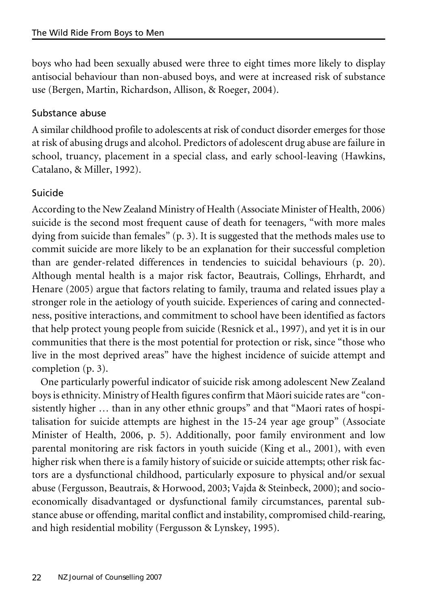boys who had been sexually abused were three to eight times more likely to display antisocial behaviour than non-abused boys, and were at increased risk of substance use (Bergen, Martin, Richardson, Allison, & Roeger, 2004).

## Substance abuse

A similar childhood profile to adolescents at risk of conduct disorder emerges for those at risk of abusing drugs and alcohol. Predictors of adolescent drug abuse are failure in school, truancy, placement in a special class, and early school-leaving (Hawkins, Catalano, & Miller, 1992).

# Suicide

According to the New Zealand Ministry of Health (Associate Minister of Health, 2006) suicide is the second most frequent cause of death for teenagers, "with more males dying from suicide than females" (p. 3). It is suggested that the methods males use to commit suicide are more likely to be an explanation for their successful completion than are gender-related differences in tendencies to suicidal behaviours (p. 20). Although mental health is a major risk factor, Beautrais, Collings, Ehrhardt, and Henare (2005) argue that factors relating to family, trauma and related issues play a stronger role in the aetiology of youth suicide. Experiences of caring and connectedness, positive interactions, and commitment to school have been identified as factors that help protect young people from suicide (Resnick et al., 1997), and yet it is in our communities that there is the most potential for protection or risk, since "those who live in the most deprived areas" have the highest incidence of suicide attempt and completion (p. 3).

One particularly powerful indicator of suicide risk among adolescent New Zealand boys is ethnicity. Ministry of Health figures confirm that Mäori suicide rates are "consistently higher … than in any other ethnic groups" and that "Maori rates of hospitalisation for suicide attempts are highest in the 15-24 year age group" (Associate Minister of Health, 2006, p. 5). Additionally, poor family environment and low parental monitoring are risk factors in youth suicide (King et al., 2001), with even higher risk when there is a family history of suicide or suicide attempts; other risk factors are a dysfunctional childhood, particularly exposure to physical and/or sexual abuse (Fergusson, Beautrais, & Horwood, 2003; Vajda & Steinbeck, 2000); and socioeconomically disadvantaged or dysfunctional family circumstances, parental substance abuse or offending, marital conflict and instability, compromised child-rearing, and high residential mobility (Fergusson & Lynskey, 1995).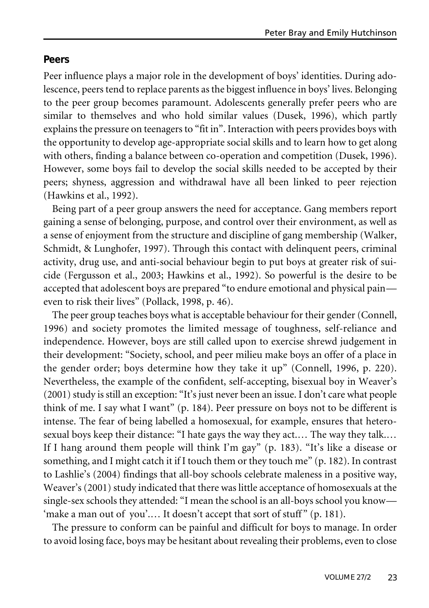#### **Peers**

Peer influence plays a major role in the development of boys' identities. During adolescence, peers tend to replace parents as the biggest influence in boys' lives. Belonging to the peer group becomes paramount. Adolescents generally prefer peers who are similar to themselves and who hold similar values (Dusek, 1996), which partly explains the pressure on teenagers to "fit in". Interaction with peers provides boys with the opportunity to develop age-appropriate social skills and to learn how to get along with others, finding a balance between co-operation and competition (Dusek, 1996). However, some boys fail to develop the social skills needed to be accepted by their peers; shyness, aggression and withdrawal have all been linked to peer rejection (Hawkins et al., 1992).

Being part of a peer group answers the need for acceptance. Gang members report gaining a sense of belonging, purpose, and control over their environment, as well as a sense of enjoyment from the structure and discipline of gang membership (Walker, Schmidt, & Lunghofer, 1997). Through this contact with delinquent peers, criminal activity, drug use, and anti-social behaviour begin to put boys at greater risk of suicide (Fergusson et al., 2003; Hawkins et al., 1992). So powerful is the desire to be accepted that adolescent boys are prepared "to endure emotional and physical pain even to risk their lives" (Pollack, 1998, p. 46).

The peer group teaches boys what is acceptable behaviour for their gender (Connell, 1996) and society promotes the limited message of toughness, self-reliance and independence. However, boys are still called upon to exercise shrewd judgement in their development: "Society, school, and peer milieu make boys an offer of a place in the gender order; boys determine how they take it up" (Connell, 1996, p. 220). Nevertheless, the example of the confident, self-accepting, bisexual boy in Weaver's (2001) study is still an exception: "It's just never been an issue. I don't care what people think of me. I say what I want" (p. 184). Peer pressure on boys not to be different is intense. The fear of being labelled a homosexual, for example, ensures that heterosexual boys keep their distance: "I hate gays the way they act.… The way they talk.… If I hang around them people will think I'm gay" (p. 183). "It's like a disease or something, and I might catch it if I touch them or they touch me" (p. 182). In contrast to Lashlie's (2004) findings that all-boy schools celebrate maleness in a positive way, Weaver's (2001) study indicated that there was little acceptance of homosexuals at the single-sex schools they attended: "I mean the school is an all-boys school you know— 'make a man out of you'.... It doesn't accept that sort of stuff" (p. 181).

The pressure to conform can be painful and difficult for boys to manage. In order to avoid losing face, boys may be hesitant about revealing their problems, even to close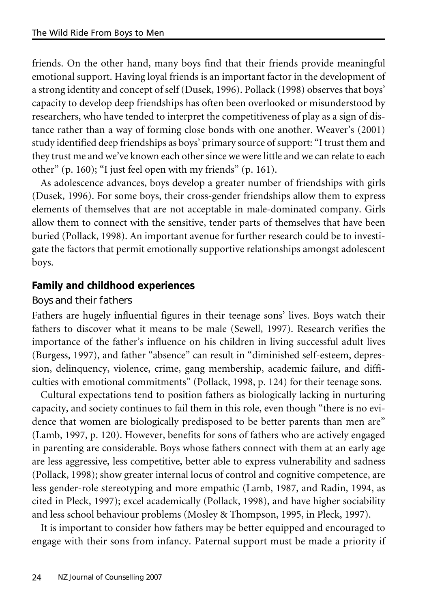friends. On the other hand, many boys find that their friends provide meaningful emotional support. Having loyal friends is an important factor in the development of a strong identity and concept of self (Dusek, 1996). Pollack (1998) observes that boys' capacity to develop deep friendships has often been overlooked or misunderstood by researchers, who have tended to interpret the competitiveness of play as a sign of distance rather than a way of forming close bonds with one another. Weaver's (2001) study identified deep friendships as boys' primary source of support: "I trust them and they trust me and we've known each othersince we were little and we can relate to each other" (p. 160); "I just feel open with my friends" (p. 161).

As adolescence advances, boys develop a greater number of friendships with girls (Dusek, 1996). For some boys, their cross-gender friendships allow them to express elements of themselves that are not acceptable in male-dominated company. Girls allow them to connect with the sensitive, tender parts of themselves that have been buried (Pollack, 1998). An important avenue for further research could be to investigate the factors that permit emotionally supportive relationships amongst adolescent boys.

## **Family and childhood experiences**

#### Boys and their fathers

Fathers are hugely influential figures in their teenage sons' lives. Boys watch their fathers to discover what it means to be male (Sewell, 1997). Research verifies the importance of the father's influence on his children in living successful adult lives (Burgess, 1997), and father "absence" can result in "diminished self-esteem, depression, delinquency, violence, crime, gang membership, academic failure, and difficulties with emotional commitments" (Pollack, 1998, p. 124) for their teenage sons.

Cultural expectations tend to position fathers as biologically lacking in nurturing capacity, and society continues to fail them in this role, even though "there is no evidence that women are biologically predisposed to be better parents than men are" (Lamb, 1997, p. 120). However, benefits for sons of fathers who are actively engaged in parenting are considerable. Boys whose fathers connect with them at an early age are less aggressive, less competitive, better able to express vulnerability and sadness (Pollack, 1998); show greater internal locus of control and cognitive competence, are less gender-role stereotyping and more empathic (Lamb, 1987, and Radin, 1994, as cited in Pleck, 1997); excel academically (Pollack, 1998), and have higher sociability and less school behaviour problems (Mosley & Thompson, 1995, in Pleck, 1997).

It is important to consider how fathers may be better equipped and encouraged to engage with their sons from infancy. Paternal support must be made a priority if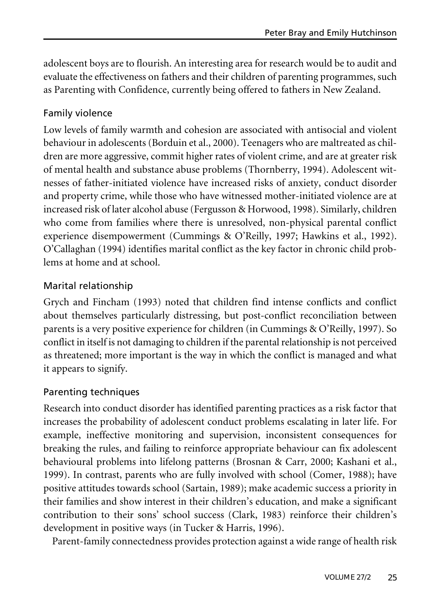adolescent boys are to flourish. An interesting area for research would be to audit and evaluate the effectiveness on fathers and their children of parenting programmes, such as Parenting with Confidence, currently being offered to fathers in New Zealand.

#### Family violence

Low levels of family warmth and cohesion are associated with antisocial and violent behaviour in adolescents (Borduin et al., 2000). Teenagers who are maltreated as children are more aggressive, commit higher rates of violent crime, and are at greater risk of mental health and substance abuse problems (Thornberry, 1994). Adolescent witnesses of father-initiated violence have increased risks of anxiety, conduct disorder and property crime, while those who have witnessed mother-initiated violence are at increased risk of later alcohol abuse (Fergusson & Horwood, 1998). Similarly, children who come from families where there is unresolved, non-physical parental conflict experience disempowerment (Cummings & O'Reilly, 1997; Hawkins et al., 1992). O'Callaghan (1994) identifies marital conflict as the key factor in chronic child problems at home and at school.

#### Marital relationship

Grych and Fincham (1993) noted that children find intense conflicts and conflict about themselves particularly distressing, but post-conflict reconciliation between parents is a very positive experience for children (in Cummings & O'Reilly, 1997). So conflict in itself is not damaging to children if the parental relationship is not perceived as threatened; more important is the way in which the conflict is managed and what it appears to signify.

#### Parenting techniques

Research into conduct disorder has identified parenting practices as a risk factor that increases the probability of adolescent conduct problems escalating in later life. For example, ineffective monitoring and supervision, inconsistent consequences for breaking the rules, and failing to reinforce appropriate behaviour can fix adolescent behavioural problems into lifelong patterns (Brosnan & Carr, 2000; Kashani et al., 1999). In contrast, parents who are fully involved with school (Comer, 1988); have positive attitudes towards school (Sartain, 1989); make academic success a priority in their families and show interest in their children's education, and make a significant contribution to their sons' school success (Clark, 1983) reinforce their children's development in positive ways (in Tucker & Harris, 1996).

Parent-family connectedness provides protection against a wide range of health risk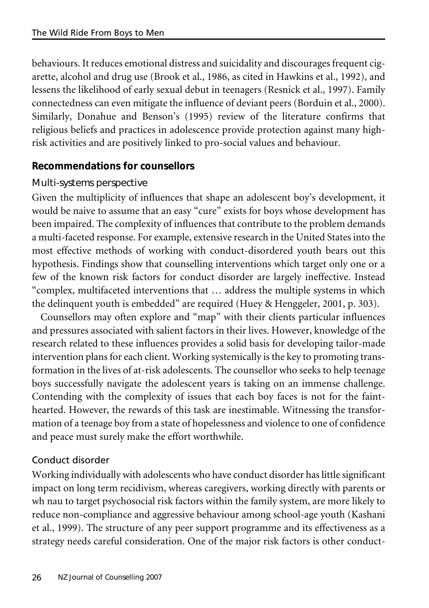behaviours. It reduces emotional distress and suicidality and discourages frequent cigarette, alcohol and drug use (Brook et al., 1986, as cited in Hawkins et al., 1992), and lessens the likelihood of early sexual debut in teenagers (Resnick et al., 1997). Family connectedness can even mitigate the influence of deviant peers (Borduin et al., 2000). Similarly, Donahue and Benson's (1995) review of the literature confirms that religious beliefs and practices in adolescence provide protection against many highrisk activities and are positively linked to pro-social values and behaviour.

#### **Recommendations for counsellors**

#### Multi-systems perspective

Given the multiplicity of influences that shape an adolescent boy's development, it would be naive to assume that an easy "cure" exists for boys whose development has been impaired. The complexity of influences that contribute to the problem demands a multi-faceted response. For example, extensive research in the United States into the most effective methods of working with conduct-disordered youth bears out this hypothesis. Findings show that counselling interventions which target only one or a few of the known risk factors for conduct disorder are largely ineffective. Instead "complex, multifaceted interventions that … address the multiple systems in which the delinquent youth is embedded" are required (Huey & Henggeler, 2001, p. 303).

Counsellors may often explore and "map" with their clients particular influences and pressures associated with salient factors in their lives. However, knowledge of the research related to these influences provides a solid basis for developing tailor-made intervention plans for each client. Working systemically is the key to promoting transformation in the lives of at-risk adolescents. The counsellor who seeks to help teenage boys successfully navigate the adolescent years is taking on an immense challenge. Contending with the complexity of issues that each boy faces is not for the fainthearted. However, the rewards of this task are inestimable. Witnessing the transformation of a teenage boy from a state of hopelessness and violence to one of confidence and peace must surely make the effort worthwhile.

## Conduct disorder

Working individually with adolescents who have conduct disorder has little significant impact on long term recidivism, whereas caregivers, working directly with parents or wh nau to target psychosocial risk factors within the family system, are more likely to reduce non-compliance and aggressive behaviour among school-age youth (Kashani et al., 1999). The structure of any peer support programme and its effectiveness as a strategy needs careful consideration. One of the major risk factors is other conduct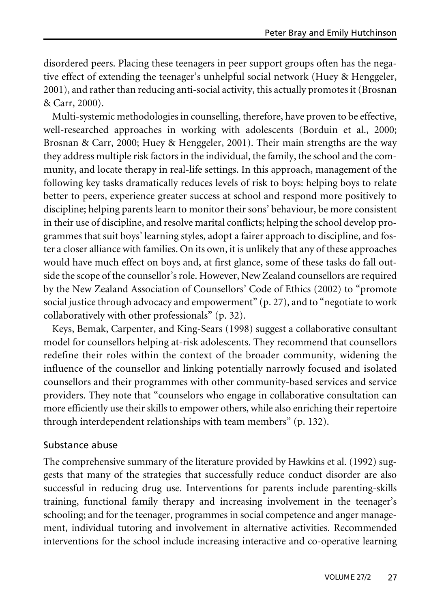disordered peers. Placing these teenagers in peer support groups often has the negative effect of extending the teenager's unhelpful social network (Huey & Henggeler, 2001), and rather than reducing anti-social activity, this actually promotes it (Brosnan & Carr, 2000).

Multi-systemic methodologies in counselling, therefore, have proven to be effective, well-researched approaches in working with adolescents (Borduin et al., 2000; Brosnan & Carr, 2000; Huey & Henggeler, 2001). Their main strengths are the way they address multiple risk factors in the individual, the family, the school and the community, and locate therapy in real-life settings. In this approach, management of the following key tasks dramatically reduces levels of risk to boys: helping boys to relate better to peers, experience greater success at school and respond more positively to discipline; helping parents learn to monitor their sons' behaviour, be more consistent in their use of discipline, and resolve marital conflicts; helping the school develop programmes that suit boys' learning styles, adopt a fairer approach to discipline, and foster a closer alliance with families. On its own, it is unlikely that any of these approaches would have much effect on boys and, at first glance, some of these tasks do fall outside the scope of the counsellor's role. However, New Zealand counsellors are required by the New Zealand Association of Counsellors' Code of Ethics (2002) to "promote social justice through advocacy and empowerment" (p. 27), and to "negotiate to work collaboratively with other professionals" (p. 32).

Keys, Bemak, Carpenter, and King-Sears (1998) suggest a collaborative consultant model for counsellors helping at-risk adolescents. They recommend that counsellors redefine their roles within the context of the broader community, widening the influence of the counsellor and linking potentially narrowly focused and isolated counsellors and their programmes with other community-based services and service providers. They note that "counselors who engage in collaborative consultation can more efficiently use their skills to empower others, while also enriching their repertoire through interdependent relationships with team members" (p. 132).

#### Substance abuse

The comprehensive summary of the literature provided by Hawkins et al. (1992) suggests that many of the strategies that successfully reduce conduct disorder are also successful in reducing drug use. Interventions for parents include parenting-skills training, functional family therapy and increasing involvement in the teenager's schooling; and for the teenager, programmes in social competence and anger management, individual tutoring and involvement in alternative activities. Recommended interventions for the school include increasing interactive and co-operative learning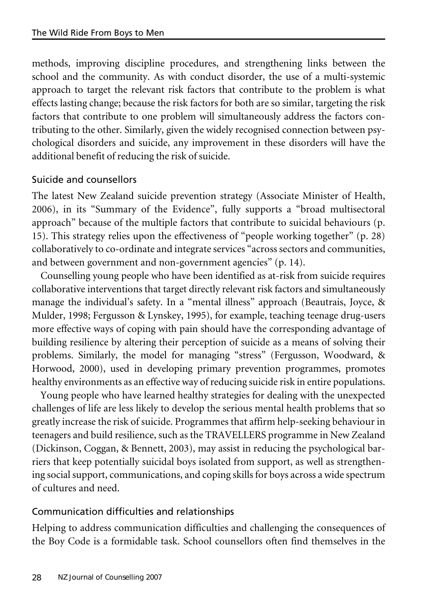methods, improving discipline procedures, and strengthening links between the school and the community. As with conduct disorder, the use of a multi-systemic approach to target the relevant risk factors that contribute to the problem is what effects lasting change; because the risk factors for both are so similar, targeting the risk factors that contribute to one problem will simultaneously address the factors contributing to the other. Similarly, given the widely recognised connection between psychological disorders and suicide, any improvement in these disorders will have the additional benefit of reducing the risk of suicide.

## Suicide and counsellors

The latest New Zealand suicide prevention strategy (Associate Minister of Health, 2006), in its "Summary of the Evidence", fully supports a "broad multisectoral approach" because of the multiple factors that contribute to suicidal behaviours (p. 15). This strategy relies upon the effectiveness of "people working together" (p. 28) collaboratively to co-ordinate and integrate services "across sectors and communities, and between government and non-government agencies" (p. 14).

Counselling young people who have been identified as at-risk from suicide requires collaborative interventions that target directly relevant risk factors and simultaneously manage the individual's safety. In a "mental illness" approach (Beautrais, Joyce, & Mulder, 1998; Fergusson & Lynskey, 1995), for example, teaching teenage drug-users more effective ways of coping with pain should have the corresponding advantage of building resilience by altering their perception of suicide as a means of solving their problems. Similarly, the model for managing "stress" (Fergusson, Woodward, & Horwood, 2000), used in developing primary prevention programmes, promotes healthy environments as an effective way of reducing suicide risk in entire populations.

Young people who have learned healthy strategies for dealing with the unexpected challenges of life are less likely to develop the serious mental health problems that so greatly increase the risk of suicide. Programmes that affirm help-seeking behaviour in teenagers and build resilience, such as the TRAVELLERS programme in New Zealand (Dickinson, Coggan, & Bennett, 2003), may assist in reducing the psychological barriers that keep potentially suicidal boys isolated from support, as well as strengthening social support, communications, and coping skills for boys across a wide spectrum of cultures and need.

## Communication difficulties and relationships

Helping to address communication difficulties and challenging the consequences of the Boy Code is a formidable task. School counsellors often find themselves in the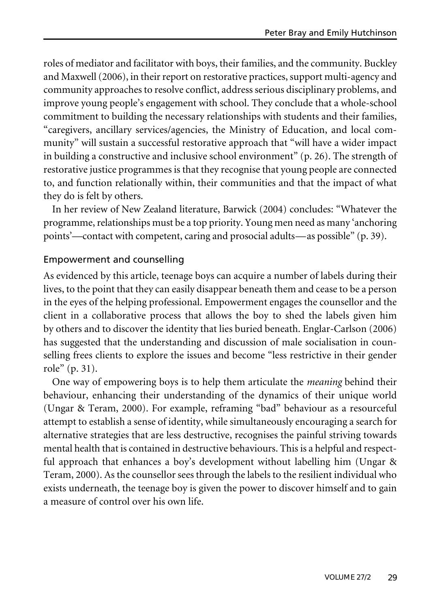roles of mediator and facilitator with boys, their families, and the community. Buckley and Maxwell  $(2006)$ , in their report on restorative practices, support multi-agency and community approaches to resolve conflict, address serious disciplinary problems, and improve young people's engagement with school. They conclude that a whole-school commitment to building the necessary relationships with students and their families, "caregivers, ancillary services/agencies, the Ministry of Education, and local community" will sustain a successful restorative approach that "will have a wider impact in building a constructive and inclusive school environment"  $(p, 26)$ . The strength of restorative justice programmes is that they recognise that young people are connected to, and function relationally within, their communities and that the impact of what they do is felt by others.

In her review of New Zealand literature, Barwick (2004) concludes: "Whatever the programme, relationships must be a top priority. Young men need as many 'anchoring points'—contact with competent, caring and prosocial adults—as possible" (p. 39).

#### Empowerment and counselling

As evidenced by this article, teenage boys can acquire a number of labels during their lives, to the point that they can easily disappear beneath them and cease to be a person in the eyes of the helping professional. Empowerment engages the counsellor and the client in a collaborative process that allows the boy to shed the labels given him by others and to discover the identity that lies buried beneath. Englar-Carlson (2006) has suggested that the understanding and discussion of male socialisation in counselling frees clients to explore the issues and become "less restrictive in their gender role" (p. 31).

One way of empowering boys is to help them articulate the *meaning* behind their behaviour, enhancing their understanding of the dynamics of their unique world (Ungar & Teram, 2000). For example, reframing "bad" behaviour as a resourceful attempt to establish a sense of identity, while simultaneously encouraging a search for alternative strategies that are less destructive, recognises the painful striving towards mental health that is contained in destructive behaviours. This is a helpful and respectful approach that enhances a boy's development without labelling him (Ungar & Teram, 2000). As the counsellor sees through the labels to the resilient individual who exists underneath, the teenage boy is given the power to discover himself and to gain a measure of control over his own life.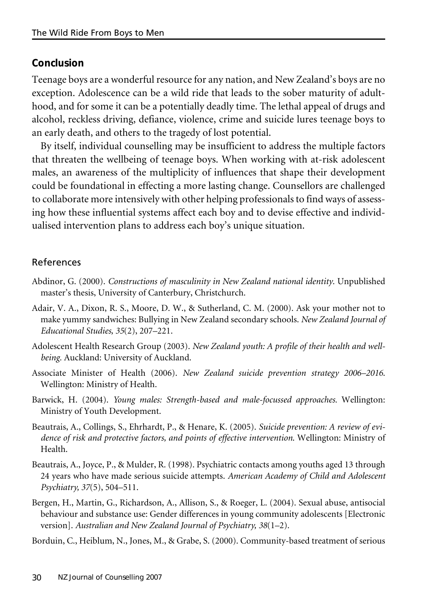## **Conclusion**

Teenage boys are a wonderful resource for any nation, and New Zealand's boys are no exception. Adolescence can be a wild ride that leads to the sober maturity of adulthood, and for some it can be a potentially deadly time. The lethal appeal of drugs and alcohol, reckless driving, defiance, violence, crime and suicide lures teenage boys to an early death, and others to the tragedy of lost potential.

By itself, individual counselling may be insufficient to address the multiple factors that threaten the wellbeing of teenage boys. When working with at-risk adolescent males, an awareness of the multiplicity of influences that shape their development could be foundational in effecting a more lasting change. Counsellors are challenged to collaborate more intensively with other helping professionals to find ways of assessing how these influential systems affect each boy and to devise effective and individualised intervention plans to address each boy's unique situation.

## References

- Abdinor, G. (2000). *Constructions of masculinity in New Zealand national identity*. Unpublished master's thesis, University of Canterbury, Christchurch.
- Adair, V. A., Dixon, R. S., Moore, D. W., & Sutherland, C. M. (2000). Ask your mother not to make yummy sandwiches: Bullying in New Zealand secondary schools. *New Zealand Journal of Educational Studies, 35*(2), 207–221.
- Adolescent Health Research Group (2003). *New Zealand youth: A profile of their health and wellbeing.* Auckland: University of Auckland.
- Associate Minister of Health (2006). *New Zealand suicide prevention strategy 2006–2016*. Wellington: Ministry of Health.
- Barwick, H. (2004). *Young males: Strength-based and male-focussed approaches.* Wellington: Ministry of Youth Development.
- Beautrais, A., Collings, S., Ehrhardt, P., & Henare, K. (2005). *Suicide prevention: A review of evidence of risk and protective factors, and points of effective intervention*. Wellington: Ministry of Health.
- Beautrais, A., Joyce, P., & Mulder, R. (1998). Psychiatric contacts among youths aged 13 through 24 years who have made serious suicide attempts. *American Academy of Child and Adolescent Psychiatry, 37*(5), 504–511.
- Bergen, H., Martin, G., Richardson, A., Allison, S., & Roeger, L. (2004). Sexual abuse, antisocial behaviour and substance use: Gender differences in young community adolescents [Electronic version]. *Australian and New Zealand Journal of Psychiatry, 38*(1–2).

Borduin, C., Heiblum, N., Jones, M., & Grabe, S. (2000). Community-based treatment of serious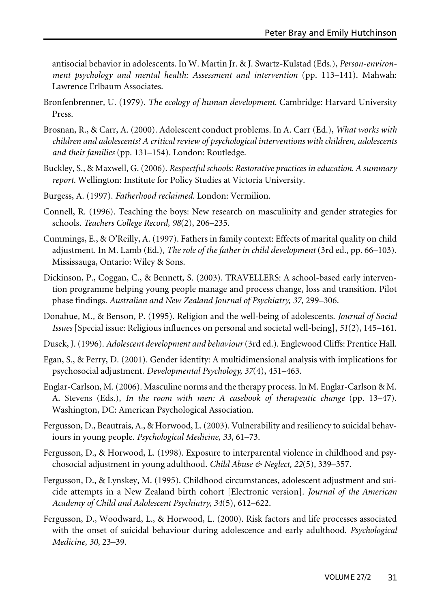antisocial behavior in adolescents. In W. Martin Jr. & J. Swartz-Kulstad (Eds.), *Person-environment psychology and mental health: Assessment and intervention* (pp. 113–141). Mahwah: Lawrence Erlbaum Associates.

- Bronfenbrenner, U. (1979). *The ecology of human development*. Cambridge: Harvard University Press.
- Brosnan, R., & Carr, A. (2000). Adolescent conduct problems. In A. Carr (Ed.), *What works with children and adolescents? A critical review of psychological interventions with children, adolescents and their families* (pp. 131–154). London: Routledge.
- Buckley, S., & Maxwell, G. (2006). *Respectful schools: Restorative practices in education. A summary report.* Wellington: Institute for Policy Studies at Victoria University.
- Burgess, A. (1997). *Fatherhood reclaimed.* London: Vermilion.
- Connell, R. (1996). Teaching the boys: New research on masculinity and gender strategies for schools. *Teachers College Record, 98*(2), 206–235.
- Cummings, E., & O'Reilly, A. (1997). Fathers in family context: Effects of marital quality on child adjustment. In M. Lamb (Ed.), *The role of the father in child development* (3rd ed., pp. 66–103). Mississauga, Ontario: Wiley & Sons.
- Dickinson, P., Coggan, C., & Bennett, S. (2003). TRAVELLERS: A school-based early intervention programme helping young people manage and process change, loss and transition. Pilot phase findings. *Australian and New Zealand Journal of Psychiatry, 37*, 299–306.
- Donahue, M., & Benson, P. (1995). Religion and the well-being of adolescents. *Journal of Social Issues* [Special issue: Religious influences on personal and societal well-being], *51*(2), 145–161.
- Dusek, J.(1996). *Adolescent development and behaviour*(3rd ed.). Englewood Cliffs: Prentice Hall.
- Egan, S., & Perry, D. (2001). Gender identity: A multidimensional analysis with implications for psychosocial adjustment. *Developmental Psychology, 37*(4), 451–463.
- Englar-Carlson, M.(2006). Masculine norms and the therapy process. In M. Englar-Carlson & M. A. Stevens (Eds.), *In the room with men: A casebook of therapeutic change* (pp. 13–47). Washington, DC: American Psychological Association.
- Fergusson, D., Beautrais, A., & Horwood, L.(2003). Vulnerability and resiliency to suicidal behaviours in young people. *Psychological Medicine, 33*, 61–73.
- Fergusson, D., & Horwood, L. (1998). Exposure to interparental violence in childhood and psychosocial adjustment in young adulthood. *Child Abuse & Neglect, 22*(5), 339–357.
- Fergusson, D., & Lynskey, M. (1995). Childhood circumstances, adolescent adjustment and suicide attempts in a New Zealand birth cohort [Electronic version]. *Journal of the American Academy of Child and Adolescent Psychiatry, 34*(5), 612–622.
- Fergusson, D., Woodward, L., & Horwood, L. (2000). Risk factors and life processes associated with the onset of suicidal behaviour during adolescence and early adulthood. *Psychological Medicine, 30*, 23–39.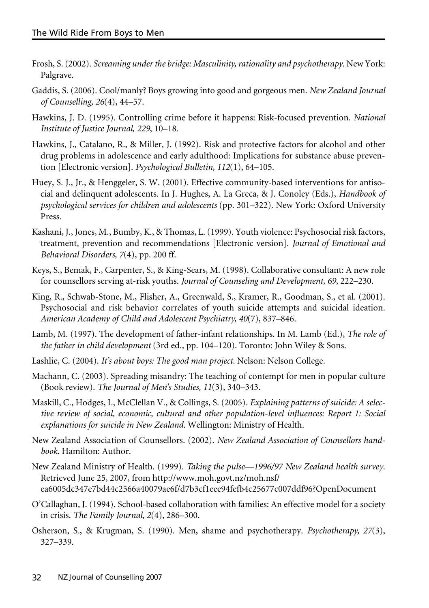- Frosh, S.(2002). *Screaming under the bridge: Masculinity,rationality and psychotherapy*. New York: Palgrave.
- Gaddis, S. (2006). Cool/manly? Boys growing into good and gorgeous men. *New Zealand Journal of Counselling, 26*(4), 44–57.
- Hawkins, J. D. (1995). Controlling crime before it happens: Risk-focused prevention. *National Institute of Justice Journal, 229*, 10–18.
- Hawkins, J., Catalano, R., & Miller, J. (1992). Risk and protective factors for alcohol and other drug problems in adolescence and early adulthood: Implications for substance abuse prevention [Electronic version]. *Psychological Bulletin, 112*(1), 64–105.
- Huey, S. J., Jr., & Henggeler, S. W. (2001). Effective community-based interventions for antisocial and delinquent adolescents. In J. Hughes, A. La Greca, & J. Conoley (Eds.), *Handbook of psychological services for children and adolescents* (pp. 301–322). New York: Oxford University Press.
- Kashani, J., Jones, M., Bumby, K., & Thomas, L. (1999). Youth violence: Psychosocial risk factors, treatment, prevention and recommendations [Electronic version]. *Journal of Emotional and Behavioral Disorders, 7*(4), pp. 200 ff.
- Keys, S., Bemak, F., Carpenter, S., & King-Sears, M. (1998). Collaborative consultant: A new role for counsellors serving at-risk youths. *Journal of Counseling and Development, 69*, 222–230.
- King, R., Schwab-Stone, M., Flisher, A., Greenwald, S., Kramer, R., Goodman, S., et al. (2001). Psychosocial and risk behavior correlates of youth suicide attempts and suicidal ideation. *American Academy of Child and Adolescent Psychiatry, 40*(7), 837–846.
- Lamb, M. (1997). The development of father-infant relationships. In M. Lamb (Ed.), *The role of the father in child development* (3rd ed., pp. 104–120). Toronto: John Wiley & Sons.
- Lashlie, C. (2004). *It's about boys: The good man project.* Nelson: Nelson College.
- Machann, C. (2003). Spreading misandry: The teaching of contempt for men in popular culture (Book review). *The Journal of Men's Studies, 11*(3), 340–343.
- Maskill, C., Hodges, I., McClellan V., & Collings, S. (2005). *Explaining patterns of suicide: A selective review of social, economic, cultural and other population-level influences: Report 1: Social explanations for suicide in New Zealand*. Wellington: Ministry of Health.
- New Zealand Association of Counsellors. (2002). *New Zealand Association of Counsellors handbook.* Hamilton: Author.
- New Zealand Ministry of Health. (1999). *Taking the pulse—1996/97 New Zealand health survey*. Retrieved June 25, 2007, from http://www.moh.govt.nz/moh.nsf/ ea6005dc347e7bd44c2566a40079ae6f/d7b3cf1eee94fefb4c25677c007ddf96?OpenDocument
- O'Callaghan, J. (1994). School-based collaboration with families: An effective model for a society in crisis. *The Family Journal, 2*(4), 286–300.
- Osherson, S., & Krugman, S. (1990). Men, shame and psychotherapy. *Psychotherapy, 27*(3), 327–339.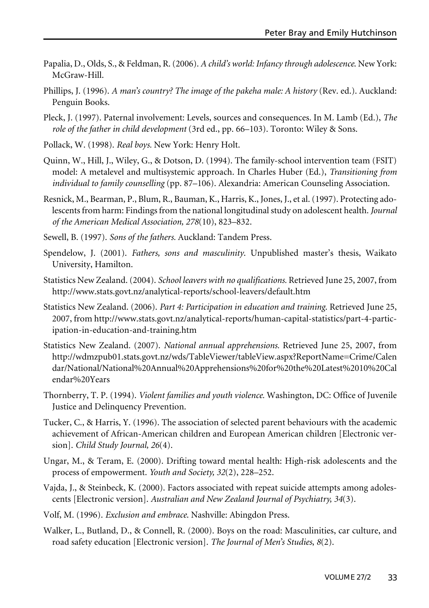- Papalia, D., Olds, S., & Feldman, R.(2006). *A child's world: Infancy through adolescence*. New York: McGraw-Hill.
- Phillips, J. (1996). *A man's country? The image of the pakeha male: A history* (Rev. ed.). Auckland: Penguin Books.
- Pleck, J. (1997). Paternal involvement: Levels, sources and consequences. In M. Lamb (Ed.), *The role of the father in child development* (3rd ed., pp. 66–103). Toronto: Wiley & Sons.
- Pollack, W. (1998). *Real boys.* New York: Henry Holt.
- Quinn, W., Hill, J., Wiley, G., & Dotson, D. (1994). The family-school intervention team (FSIT) model: A metalevel and multisystemic approach. In Charles Huber (Ed.), *Transitioning from individual to family counselling* (pp. 87–106). Alexandria: American Counseling Association.
- Resnick, M., Bearman, P., Blum, R., Bauman, K., Harris, K., Jones, J., et al.(1997). Protecting adolescents from harm: Findings from the national longitudinal study on adolescent health. *Journal of the American Medical Association, 278*(10), 823–832.
- Sewell, B. (1997). *Sons of the fathers.* Auckland: Tandem Press.
- Spendelow, J. (2001). *Fathers, sons and masculinity*. Unpublished master's thesis, Waikato University, Hamilton.
- Statistics New Zealand. (2004). *School leavers with no qualifications.* Retrieved June 25, 2007, from http://www.stats.govt.nz/analytical-reports/school-leavers/default.htm
- Statistics New Zealand. (2006). *Part 4: Participation in education and training*. Retrieved June 25, 2007, from http://www.stats.govt.nz/analytical-reports/human-capital-statistics/part-4-participation-in-education-and-training.htm
- Statistics New Zealand. (2007). *National annual apprehensions.* Retrieved June 25, 2007, from http://wdmzpub01.stats.govt.nz/wds/TableViewer/tableView.aspx?ReportName=Crime/Calen dar/National/National%20Annual%20Apprehensions%20for%20the%20Latest%2010%20Cal endar%20Years
- Thornberry, T. P. (1994). *Violent families and youth violence.* Washington, DC: Office of Juvenile Justice and Delinquency Prevention.
- Tucker, C., & Harris, Y. (1996). The association of selected parent behaviours with the academic achievement of African-American children and European American children [Electronic version]. *Child Study Journal, 26*(4).
- Ungar, M., & Teram, E. (2000). Drifting toward mental health: High-risk adolescents and the process of empowerment. *Youth and Society, 32*(2), 228–252.
- Vajda, J., & Steinbeck, K. (2000). Factors associated with repeat suicide attempts among adolescents [Electronic version]. *Australian and New Zealand Journal of Psychiatry, 34*(3).
- Volf, M. (1996). *Exclusion and embrace*. Nashville: Abingdon Press.
- Walker, L., Butland, D., & Connell, R. (2000). Boys on the road: Masculinities, car culture, and road safety education [Electronic version]. *The Journal of Men's Studies*, *8*(2).